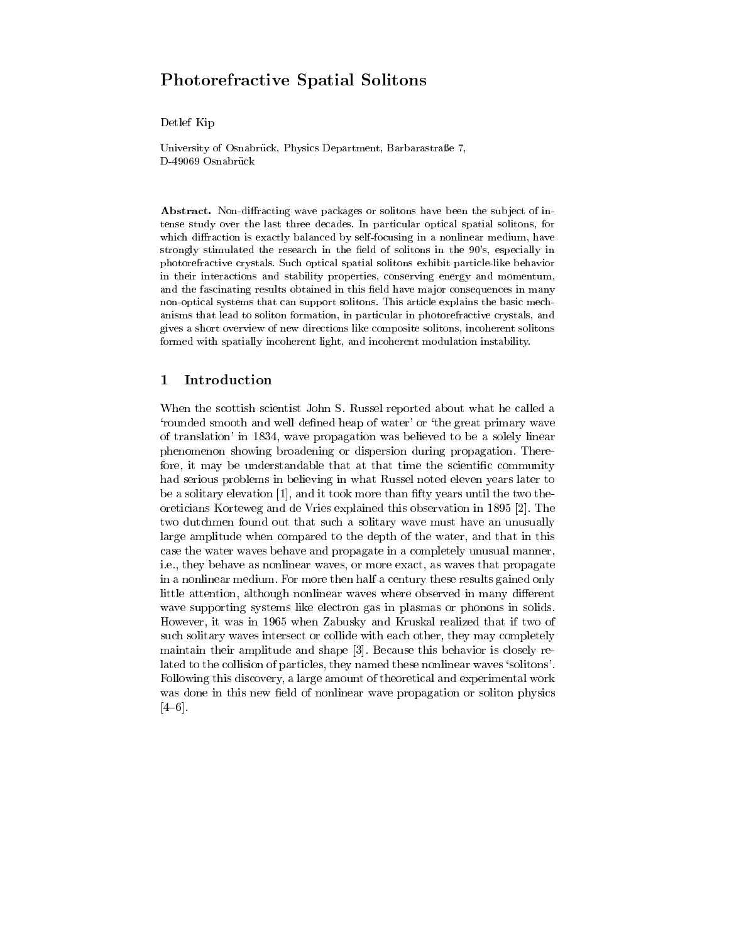# Photorefractive Spatial Solitons

Detlef Kip

University of Osnabrück, Physics Department, Barbarastraße 7, D-49069 Osnabrück

Abstract. Non-diffracting wave packages or solitons have been the subject of intense study over the last three decades. In particular optical spatial solitons, for which diffraction is exactly balanced by self-focusing in a nonlinear medium, have strongly stimulated the research in the field of solitons in the 90's, especially in photorefractive crystals. Such optical spatial solitons exhibit particle-like behavior in their interactions and stability properties, conserving energy and momentum, and the fascinating results obtained in this field have major consequences in many non-optical systems that can support solitons. This article explains the basic mechanisms that lead to soliton formation, in particular in photorefractive crystals, and gives a short overview of new directions like composite solitons, incoherent solitons formed with spatially incoherent light, and incoherent modulation instability.

# <sup>1</sup> Introduction

When the scottish scientist John S. Russel reported about what he called a `rounded smooth and well dened heap of water' or `the great primary wave of translation' in 1834, wave propagation was believed to be a solely linear phenomenon showing broadening or dispersion during propagation. Therefore, it may be understandable that at that time the scientific community had serious problems in believing in what Russel noted eleven years later to be a solitary elevation  $[1]$ , and it took more than fifty years until the two theoreticians Korteweg and de Vries explained this observation in 1895 [2]. The two dutchmen found out that such a solitary wave must have an unusually large amplitude when compared to the depth of the water, and that in this case the water waves behave and propagate in a completely unusual manner, i.e., they behave as nonlinear waves, or more exact, as waves that propagate in a nonlinear medium. For more then half a century these results gained only little attention, although nonlinear waves where observed in many different wave supporting systems like electron gas in plasmas or phonons in solids. However, it was in 1965 when Zabusky and Kruskal realized that if two of such solitary waves intersect or collide with each other, they may completely maintain their amplitude and shape [3]. Because this behavior is closely related to the collision of particles, they named these nonlinear waves 'solitons'. Following this discovery, a large amount of theoretical and experimental work was done in this new field of nonlinear wave propagation or soliton physics  $[4–6]$ .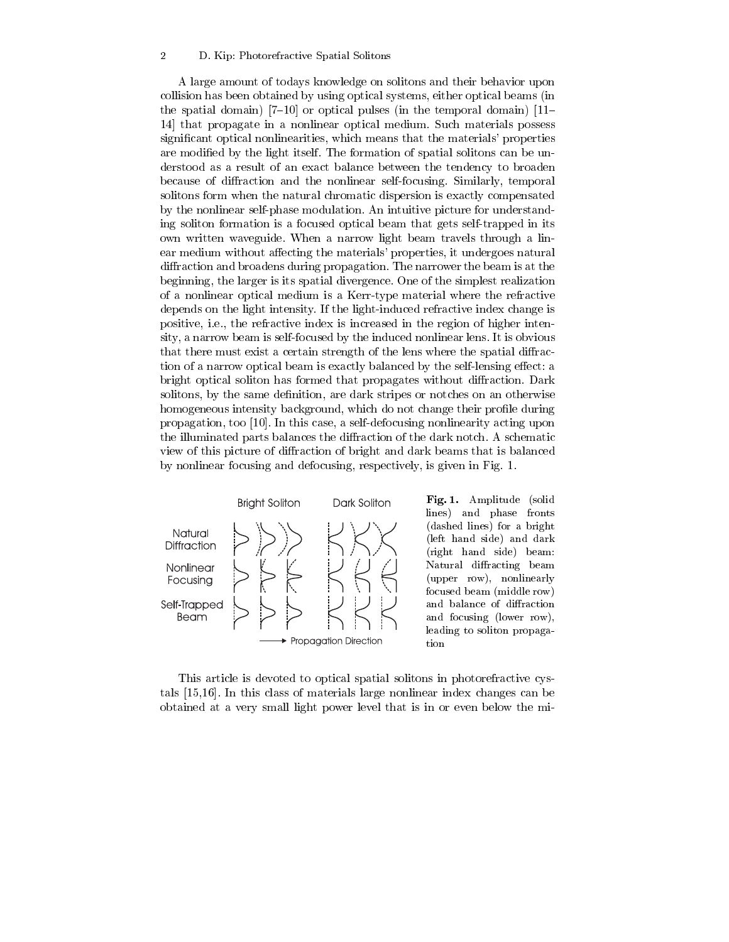A large amount of todays knowledge on solitons and their behavior upon collision has been obtained by using optical systems, either optical beams (in the spatial domain)  $[7-10]$  or optical pulses (in the temporal domain)  $[11-$ 14] that propagate in a nonlinear optical medium. Such materials possess signicant optical nonlinearities, which means that the materials' properties are modied by the light itself. The formation of spatial solitons can be understood as a result of an exact balance between the tendency to broaden because of diffraction and the nonlinear self-focusing. Similarly, temporal solitons form when the natural chromatic dispersion is exactly compensated by the nonlinear self-phase modulation. An intuitive picture for understanding soliton formation is a focused optical beam that gets self-trapped in its own written waveguide. When a narrow light beam travels through a linear medium without affecting the materials' properties, it undergoes natural diffraction and broadens during propagation. The narrower the beam is at the beginning, the larger is its spatial divergence. One of the simplest realization of a nonlinear optical medium is a Kerr-type material where the refractive depends on the light intensity. If the light-induced refractive index change is positive, i.e., the refractive index is increased in the region of higher intensity, a narrow beam is self-focused by the induced nonlinear lens. It is obvious that there must exist a certain strength of the lens where the spatial diffraction of a narrow optical beam is exactly balanced by the self-lensing effect: a bright optical soliton has formed that propagates without diffraction. Dark solitons, by the same definition, are dark stripes or notches on an otherwise homogeneous intensity background, which do not change their profile during propagation, too [10]. In this case, a self-defocusing nonlinearity acting upon the illuminated parts balances the diffraction of the dark notch. A schematic view of this picture of diffraction of bright and dark beams that is balanced by nonlinear focusing and defocusing, respectively, is given in Fig. 1.



This article is devoted to optical spatial solitons in photorefractive cystals [15,16]. In this class of materials large nonlinear index changes can be obtained ata very small light power level that is in or even below the mi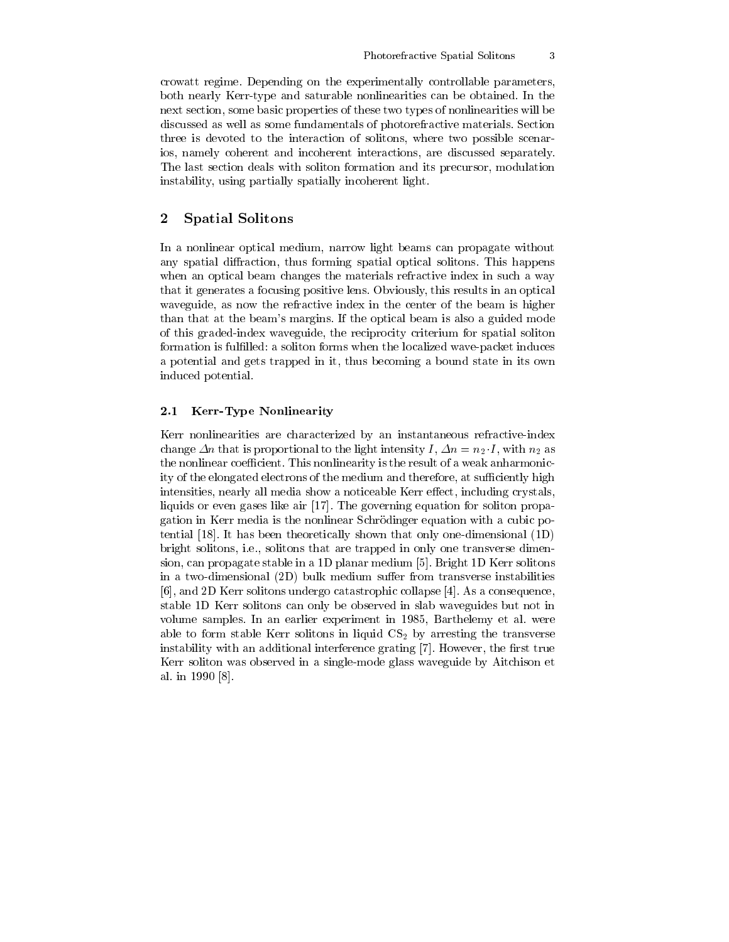crowatt regime. Depending on the experimentally controllable parameters, both nearly Kerr-type and saturable nonlinearities can be obtained. In the next section, some basic properties of these two types of nonlinearities will be discussed as well as some fundamentals of photorefractive materials. Section three is devoted to the interaction of solitons, where two possible scenarios, namely coherent and incoherent interactions, are discussed separately. The last section deals with soliton formation and its precursor, modulation instability, using partially spatially incoherent light.

# <sup>2</sup> Spatial Solitons

In a nonlinear optical medium, narrow light beams can propagate without any spatial diffraction, thus forming spatial optical solitons. This happens when an optical beam changes the materials refractive index in such a way that it generates a focusing positive lens. Obviously, this results in an optical waveguide, as now the refractive index in the center of the beam is higher than that at the beam's margins. If the optical beam is also a guided mode of this graded-index waveguide, the reciprocity criterium for spatial soliton formation is fulfilled: a soliton forms when the localized wave-packet induces a potential and gets trapped in it, thus becoming a bound state in its own induced potential.

### 2.1 Kerr-Type Nonlinearity

Kerr nonlinearities are characterized by an instantaneous refractive-index change  $\Delta n$  that is proportional to the light intensity I,  $\Delta n = n_2$  I, with  $n_2$  as the nonlinear coefficient. This nonlinearity is the result of a weak anharmonicity of the elongated electrons of the medium and therefore, at sufficiently high intensities, nearly all media show a noticeable Kerr effect, including crystals, liquids or even gases like air [17]. The governing equation for soliton propagation in Kerr media is the nonlinear Schrodinger equation with a cubic potential [18]. It has been theoretically shown that only one-dimensional (1D) bright solitons, i.e., solitons that are trapped in only one transverse dimension, can propagate stable in a 1D planar medium [5]. Bright 1D Kerr solitons in a two-dimensional  $(2D)$  bulk medium suffer from transverse instabilities [6], and 2D Kerr solitons undergo catastrophic collapse [4]. As a consequence, stable 1D Kerr solitons can only be observed in slab waveguides but not in volume samples. In an earlier experiment in 1985, Barthelemy et al. were able to form stable Kerr solitons in liquid  $CS<sub>2</sub>$  by arresting the transverse instability with an additional interference grating [7]. However, the first true Kerr soliton was observed in a single-mode glass waveguide by Aitchison et al. in 1990 [8].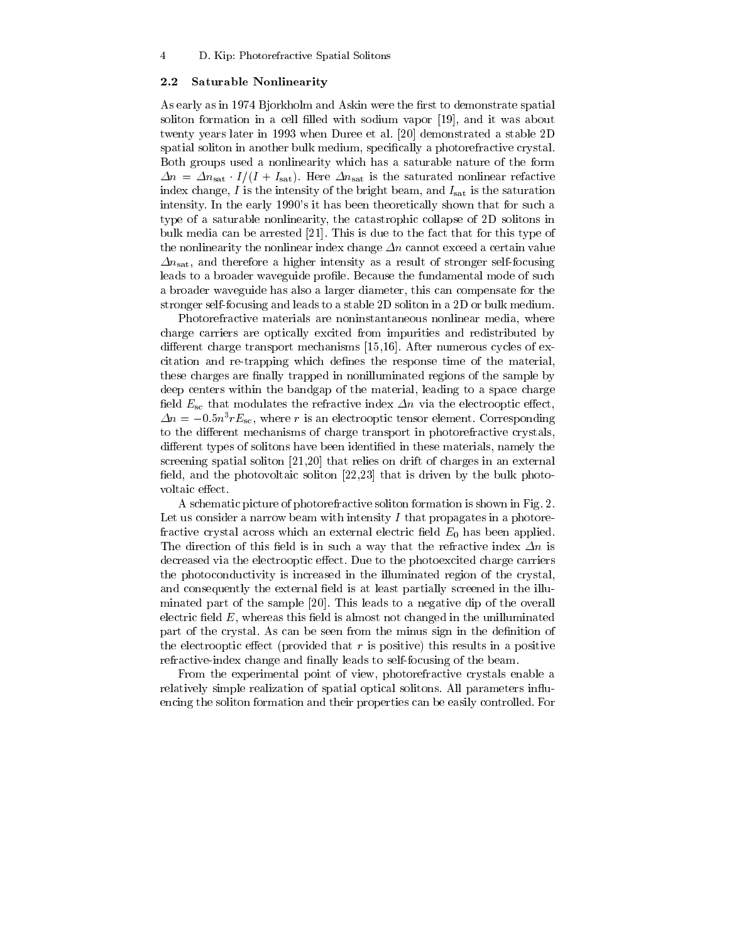### 2.2 Saturable Nonlinearity

As early as in 1974 Bjorkholm and Askin were the first to demonstrate spatial soliton formation in a cell filled with sodium vapor [19], and it was about twenty years later in 1993 when Duree et al. [20] demonstrated a stable 2D spatial soliton in another bulk medium, specifically a photorefractive crystal. Both groups used a nonlinearity which has a saturable nature of the form  $\Delta n = \Delta n_{\rm sat} \cdot I/(I + I_{\rm sat})$ . Here  $\Delta n_{\rm sat}$  is the saturated nonlinear refactive index change,  $I$  is the intensity of the bright beam, and  $I_{\text{sat}}$  is the saturation intensity. In the early 1990's it has been theoretically shown that for such a type of a saturable nonlinearity, the catastrophic collapse of 2D solitons in bulk media can be arrested [21]. This is due to the fact that for this type of the nonlinearity the nonlinear index change  $\Delta n$  cannot exceed a certain value  $\Delta n_{\text{sat}}$ , and therefore a higher intensity as a result of stronger self-focusing leads to a broader waveguide profile. Because the fundamental mode of such a broader waveguide has also a larger diameter, this can compensate for the stronger self-focusing and leads to a stable 2D soliton in a 2D or bulk medium.

Photorefractive materials are noninstantaneous nonlinear media, where charge carriers are optically excited from impurities and redistributed by different charge transport mechanisms  $[15,16]$ . After numerous cycles of excitation and re-trapping which denes the response time of the material, these charges are finally trapped in nonilluminated regions of the sample by deep centers within the bandgap of the material, leading to a space charge field  $E_{\rm sc}$  that modulates the refractive index  $\Delta n$  via the electrooptic effect,  $\Delta n = -0.5n^3rE_{\text{sc}}$ , where r is an electrooptic tensor element. Corresponding to the different mechanisms of charge transport in photorefractive crystals, different types of solitons have been identified in these materials, namely the screening spatial soliton [21,20] that relies on drift of charges in an external field, and the photovoltaic soliton  $[22,23]$  that is driven by the bulk photovoltaic effect.

A schematic picture of photorefractive soliton formation is shown in Fig. 2. Let us consider a narrow beam with intensity  $I$  that propagates in a photorefractive crystal across which an external electric field  $E_0$  has been applied. The direction of this field is in such a way that the refractive index  $\Delta n$  is decreased via the electrooptic effect. Due to the photoexcited charge carriers the photoconductivity is increased in the illuminated region of the crystal, and consequently the external field is at least partially screened in the illuminated part of the sample [20]. This leads to a negative dip of the overall electric field  $E$ , whereas this field is almost not changed in the unilluminated part of the crystal. As can be seen from the minus sign in the definition of the electrooptic effect (provided that  $r$  is positive) this results in a positive refractive-index change and finally leads to self-focusing of the beam.

From the experimental point of view, photorefractive crystals enable a relatively simple realization of spatial optical solitons. All parameters influencing the soliton formation and their properties can be easily controlled. For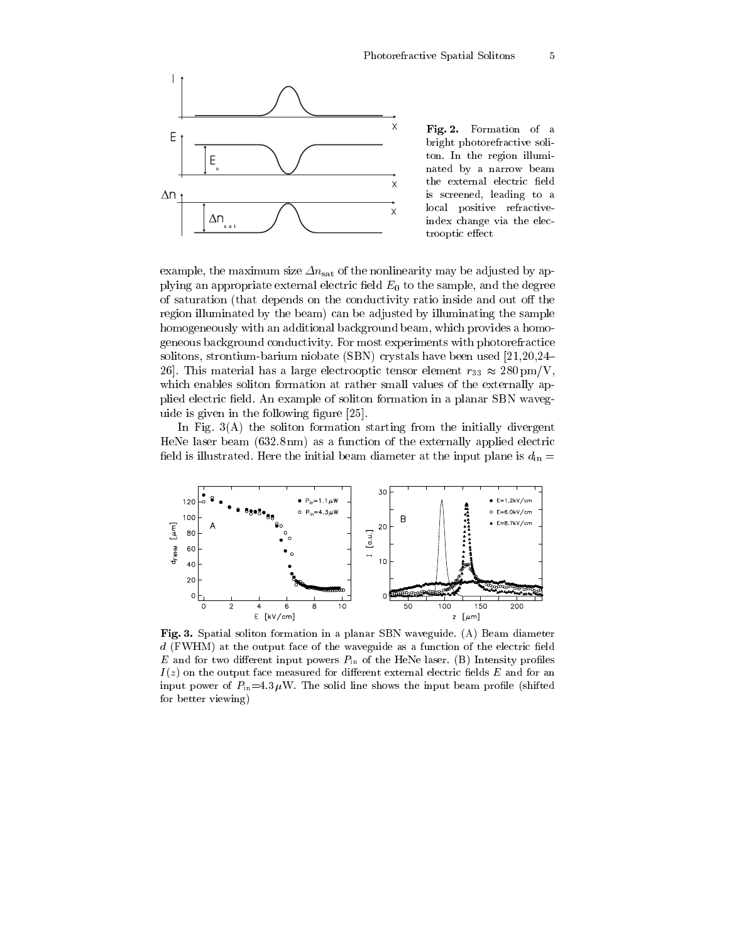

Fig. 2. Formation of a bright photorefractive soliton. In the region illuminated by a narrow beam the external electric field is screened, leading to a local positive refractiveindex change via the electrooptic effect

example, the maximum size  $\Delta n_{\rm sat}$  of the nonlinearity may be adjusted by applying an appropriate external electric field  $E_0$  to the sample, and the degree of saturation (that depends on the conductivity ratio inside and out off the region illuminated by the beam) can be adjusted by illuminating the sample homogeneously with an additional background beam, which provides a homogeneous background conductivity. For most experiments with photorefractice solitons, strontium-barium niobate (SBN) crystals have been used  $[21,20,24-$ 26]. This material has a large electrooptic tensor element  $r_{33} \approx 280 \text{ pm/V}$ , which enables soliton formation at rather small values of the externally applied electric field. An example of soliton formation in a planar SBN waveguide is given in the following figure  $[25]$ .

In Fig.  $3(A)$  the soliton formation starting from the initially divergent HeNe laser beam (632.8 nm) as a function of the externally applied electric field is illustrated. Here the initial beam diameter at the input plane is  $d_{\text{in}} =$ 



Fig. 3. Spatial soliton formation in a planar SBN waveguide. (A) Beam diameter  $d$  (FWHM) at the output face of the waveguide as a function of the electric field  $E$  and for two different input powers  $P_{\text{in}}$  of the HeNe laser. (B) Intensity profiles  $I(z)$  on the output face measured for different external electric fields E and for an input power of  $P_{\text{in}}=4.3 \mu \text{W}$ . The solid line shows the input beam profile (shifted for better viewing)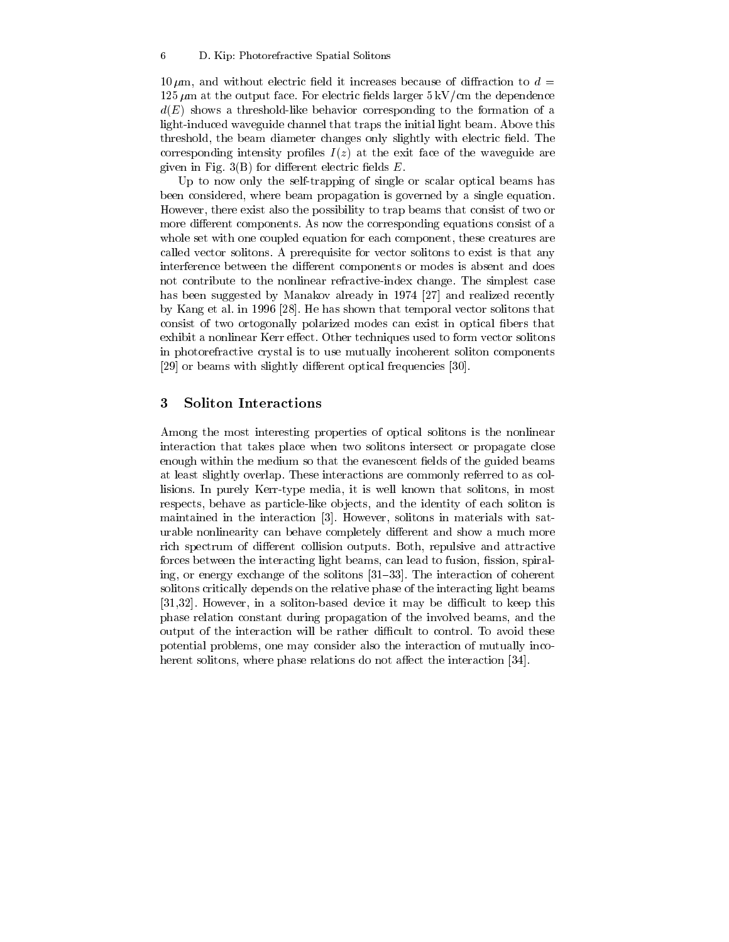$10 \mu$ m, and without electric field it increases because of diffraction to  $d =$  $125 \mu m$  at the output face. For electric fields larger  $5 \,\mathrm{kV/cm}$  the dependence  $d(E)$  shows a threshold-like behavior corresponding to the formation of a light-induced waveguide channel that traps the initial light beam. Above this threshold, the beam diameter changes only slightly with electric field. The corresponding intensity profiles  $I(z)$  at the exit face of the waveguide are given in Fig.  $3(B)$  for different electric fields  $E$ .

Up to now only the self-trapping of single or scalar optical beams has been considered, where beam propagation is governed by a single equation. However, there exist also the possibility to trap beams that consist of two or more different components. As now the corresponding equations consist of a whole set with one coupled equation for each component, these creatures are called vector solitons. A prerequisite for vector solitons to exist is that any interference between the different components or modes is absent and does not contribute to the nonlinear refractive-index change. The simplest case has been suggested by Manakov already in 1974 [27] and realized recently by Kang et al. in 1996 [28]. He has shown that temporal vector solitons that consist of two ortogonally polarized modes can exist in optical bers that exhibit a nonlinear Kerr effect. Other techniques used to form vector solitons in photorefractive crystal is to use mutually incoherent soliton components [29] or beams with slightly different optical frequencies [30].

### <sup>3</sup> Soliton Interactions

Among the most interesting properties of optical solitons is the nonlinear interaction that takes place when two solitons intersect or propagate close enough within the medium so that the evanescent fields of the guided beams at least slightly overlap. These interactions are commonly referred to as collisions. In purely Kerr-type media, it is well known that solitons, in most respects, behave as particle-like objects, and the identity of each soliton is maintained in the interaction [3]. However, solitons in materials with saturable nonlinearity can behave completely different and show a much more rich spectrum of different collision outputs. Both, repulsive and attractive forces between the interacting light beams, can lead to fusion, fission, spiraling, or energy exchange of the solitons  $[31-33]$ . The interaction of coherent solitons critically depends on the relative phase of the interacting light beams  $[31,32]$ . However, in a soliton-based device it may be difficult to keep this phase relation constant during propagation of the involved beams, and the output of the interaction will be rather difficult to control. To avoid these potential problems, one may consider also the interaction of mutually incoherent solitons, where phase relations do not affect the interaction [34].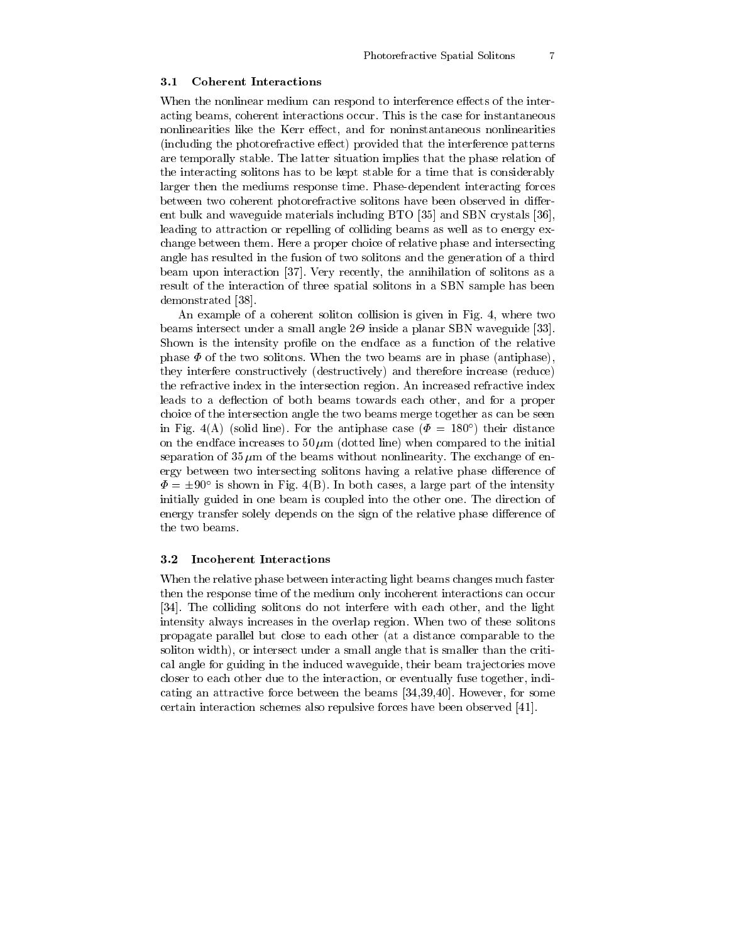### 3.1 Coherent Interactions

When the nonlinear medium can respond to interference effects of the interacting beams, coherent interactions occur. This is the case for instantaneous nonlinearities like the Kerr effect, and for noninstantaneous nonlinearities (including the photorefractive effect) provided that the interference patterns are temporally stable. The latter situation implies that the phase relation of the interacting solitons has to be kept stable for a time that is considerably larger then the mediums response time. Phase-dependent interacting forces between two coherent photorefractive solitons have been observed in different bulk and waveguide materials including BTO [35] and SBN crystals [36], leading to attraction or repelling of colliding beams as well as to energy exchange between them. Here a proper choice of relative phase and intersecting angle has resulted in the fusion of two solitons and the generation of a third beam upon interaction [37]. Very recently, the annihilation of solitons as a result of the interaction of three spatial solitons in a SBN sample has been demonstrated [38].

An example of a coherent soliton collision is given in Fig. 4, where two beams intersect under a small angle 2- inside a planar SBN waveguide [33]. Shown is the intensity profile on the endface as a function of the relative phase  $\Phi$  of the two solitons. When the two beams are in phase (antiphase). they interfere constructively (destructively) and therefore increase (reduce) the refractive index in the intersection region. An increased refractive index leads to a deflection of both beams towards each other, and for a proper choice of the intersection angle the two beams merge together as can be seen in Fig.  $4(A)$  (solid line). For the antiphase case ( $\Psi \equiv 180^\circ$  ) their distance on the endface increases to  $50 \mu m$  (dotted line) when compared to the initial separation of 35  $\mu$ m of the beams without nonlinearity. The exchange of energy between two intersecting solitons having a relative phase difference of  $\Psi = \pm 90$  is shown in Fig. 4(B). In both cases, a large part of the intensity initially guided in one beam is coupled into the other one. The direction of energy transfer solely depends on the sign of the relative phase difference of the two beams.

#### 3.2 Incoherent Interactions

When the relative phase between interacting light beams changes much faster then the response time of the medium only incoherent interactions can occur [34]. The colliding solitons do not interfere with each other, and the light intensity always increases in the overlap region. When two of these solitons propagate parallel but close to each other (at a distance comparable to the soliton width), or intersect under a small angle that is smaller than the critical angle for guiding in the induced waveguide, their beam tra jectories move closer to each other due to the interaction, or eventually fuse together, indicating an attractive force between the beams [34,39,40]. However, for some certain interaction schemes also repulsive forces have been observed [41].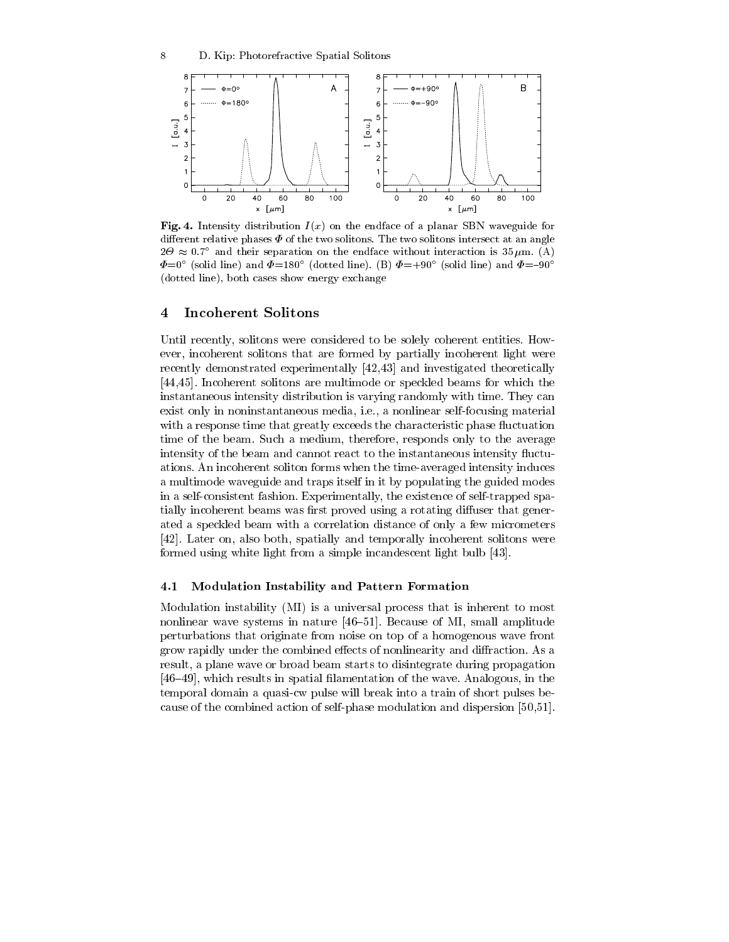

Fig. 4. Intensity distribution  $I(x)$  on the endface of a planar SBN waveguide for different relative phases  $\Phi$  of the two solitons. The two solitons intersect at an angle  $2\Theta \approx 0.7$  and their separation on the endface without interaction is 35  ${\rm \mu m.}$  (A)  $\varPsi=0$  (solid line) and  $\varPsi=180$  (dotted line). (B)  $\varPsi=+90$  (solid line) and  $\varPsi=-90$ (dotted line), both cases show energy exchange

### <sup>4</sup> Incoherent Solitons

Until recently, solitons were considered to be solely coherent entities. How ever, incoherent solitons that are formed by partially incoherent light were recently demonstrated experimentally [42,43] and investigated theoretically [44,45]. Incoherent solitons are multimode or speckled beams for which the instantaneous intensity distribution is varying randomly with time. They can exist only in noninstantaneous media, i.e., a nonlinear self-focusing material with a response time that greatly exceeds the characteristic phase fluctuation time of the beam. Such a medium, therefore, responds only to the average intensity of the beam and cannot react to the instantaneous intensity 
uctuations. An incoherent soliton forms when the time-averaged intensity induces a multimode waveguide and traps itself in it by populating the guided modes in a self-consistent fashion. Experimentally, the existence of self-trapped spatially incoherent beams was first proved using a rotating diffuser that generated a speckled beam with a correlation distance of only a few micrometers [42]. Later on, also both, spatially and temporally incoherent solitons were formed using white light from a simple incandescent light bulb [43].

### 4.1 Modulation Instability and Pattern Formation

Modulation instability (MI) is a universal process that is inherent to most nonlinear wave systems in nature  $[46–51]$ . Because of MI, small amplitude perturbations that originate from noise on top of a homogenous wave front grow rapidly under the combined effects of nonlinearity and diffraction. As a result, a plane wave or broad beam starts to disintegrate during propagation  $[46–49]$ , which results in spatial filamentation of the wave. Analogous, in the temporal domain a quasi-cw pulse will break into a train of short pulses because of the combined action of self-phase modulation and dispersion [50,51].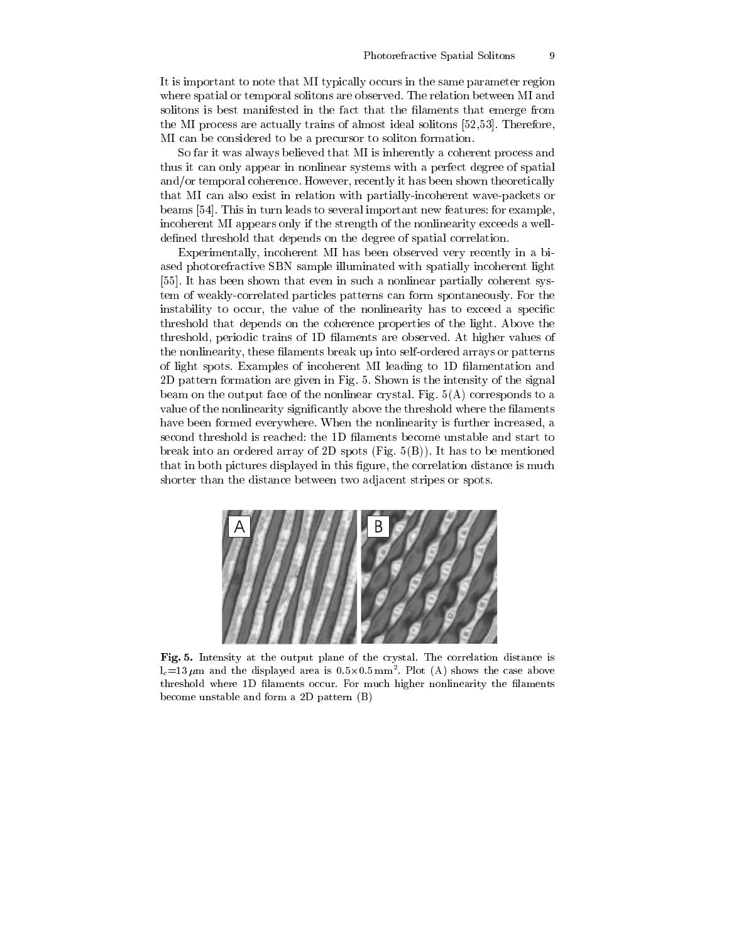It is important to note that MI typically occurs in the same parameter region where spatial or temporal solitons are observed. The relation between MI and solitons is best manifested in the fact that the filaments that emerge from the MI process are actually trains of almost ideal solitons [52,53]. Therefore, MI can be considered to be a precursor to soliton formation.

So far it was always believed that MI is inherently a coherent process and thus it can only appear in nonlinear systems with a perfect degree of spatial and/or temporal coherence. However, recently it has been shown theoretically that MI can also exist in relation with partially-incoherent wave-packets or beams [54]. This in turn leads to several important new features: for example, incoherent MI appears only if the strength of the nonlinearity exceeds a welldefined threshold that depends on the degree of spatial correlation.

Experimentally, incoherent MI has been observed very recently in a biased photorefractive SBN sample illuminated with spatially incoherent light [55]. It has been shown that even in such a nonlinear partially coherent system of weakly-correlated particles patterns can form spontaneously. For the instability to occur, the value of the nonlinearity has to exceed a specific threshold that depends on the coherence properties of the light. Above the threshold, periodic trains of 1D filaments are observed. At higher values of the nonlinearity, these filaments break up into self-ordered arrays or patterns of light spots. Examples of incoherent MI leading to 1D filamentation and 2D pattern formation are given in Fig. 5. Shown is the intensity of the signal beam on the output face of the nonlinear crystal. Fig.  $5(A)$  corresponds to a value of the nonlinearity significantly above the threshold where the filaments have been formed everywhere. When the nonlinearity is further increased, a second threshold is reached: the 1D filaments become unstable and start to break into an ordered array of 2D spots (Fig.  $5(B)$ ). It has to be mentioned that in both pictures displayed in this figure, the correlation distance is much shorter than the distance between two adjacent stripes or spots.



Fig. 5. Intensity at the output plane of the crystal. The correlation distance is  $\rm l_c\rm =13~\mu m$  and the displayed area is 0.5X0.5 mm<sup>-</sup>. Plot (A) shows the case above threshold where 1D filaments occur. For much higher nonlinearity the filaments become unstable and form a 2D pattern (B)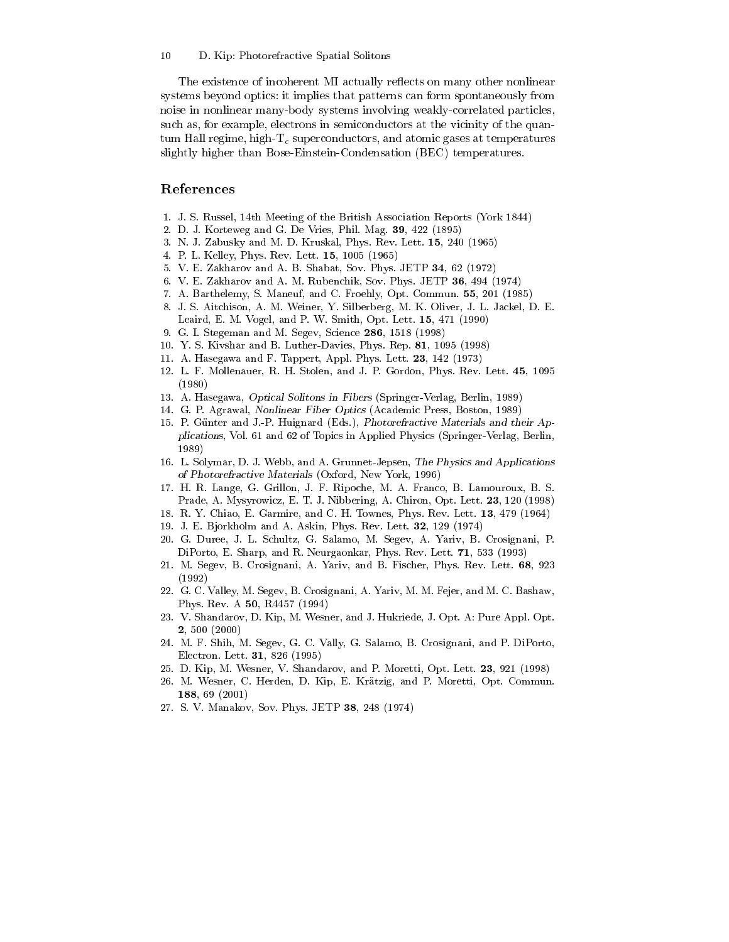The existence of incoherent MI actually reflects on many other nonlinear systems beyond optics: it implies that patterns can form spontaneously from noise in nonlinear many-body systems involving weakly-correlated particles, such as, for example, electrons in semiconductors at the vicinity of the quantum Hall regime, high- $T_c$  superconductors, and atomic gases at temperatures slightly higher than Bose-Einstein-Condensation (BEC) temperatures.

# References

- 1. J. S. Russel, 14th Meeting of the British Association Reports (York 1844)
- 2. D. J. Korteweg and G. De Vries, Phil. Mag. 39, 422 (1895)
- 3. N. J. Zabusky and M. D. Kruskal, Phys. Rev. Lett. 15, 240 (1965)
- 4. P. L. Kelley, Phys. Rev. Lett. 15, 1005 (1965)
- 5. V. E. Zakharov and A. B. Shabat, Sov. Phys. JETP 34, 62 (1972)
- 6. V. E. Zakharov and A. M. Rubenchik, Sov. Phys. JETP 36, 494 (1974)
- 7. A. Barthelemy, S. Maneuf, and C. Froehly, Opt. Commun. 55, 201 (1985)
- 8. J. S. Aitchison, A. M. Weiner, Y. Silberberg, M. K. Oliver, J. L. Jackel, D. E. Leaird, E. M. Vogel, and P. W. Smith, Opt. Lett. 15, 471 (1990)
- 9. G. I. Stegeman and M. Segev, Science 286, 1518 (1998)
- 10. Y. S. Kivshar and B. Luther-Davies, Phys. Rep. 81, 1095 (1998)
- 11. A. Hasegawa and F. Tappert, Appl. Phys. Lett. 23, 142 (1973)
- 12. L. F. Mollenauer, R. H. Stolen, and J. P. Gordon, Phys. Rev. Lett. 45, 1095 (1980)
- 13. A. Hasegawa, Optical Solitons in Fibers (Springer-Verlag, Berlin, 1989)
- 14. G. P. Agrawal, Nonlinear Fiber Optics (Academic Press, Boston, 1989)
- 15. P. Gunter and J.-P. Huignard (Eds.), Photorefractive Materials and their Applications, Vol. 61 and 62 of Topics in Applied Physics (Springer-Verlag, Berlin, 1989)
- 16. L. Solymar, D. J. Webb, and A. Grunnet-Jepsen, The Physics and Applications of Photorefractive Materials (Oxford, New York, 1996)
- 17. H. R. Lange, G. Grillon, J. F. Ripoche, M. A. Franco, B. Lamouroux, B. S. Prade, A. Mysyrowicz, E. T. J. Nibbering, A. Chiron, Opt. Lett. 23, 120 (1998)
- 18. R. Y. Chiao, E. Garmire, and C. H. Townes, Phys. Rev. Lett. 13, 479 (1964)
- 19. J. E. Bjorkholm and A. Askin, Phys. Rev. Lett. 32, 129 (1974)
- 20. G. Duree, J. L. Schultz, G. Salamo, M. Segev, A. Yariv, B. Crosignani, P. DiPorto, E. Sharp, and R. Neurgaonkar, Phys. Rev. Lett. 71, 533 (1993)
- 21. M. Segev, B. Crosignani, A. Yariv, and B. Fischer, Phys. Rev. Lett. 68, 923  $(1992)$ (1992)
- 22. G. C. Valley, M. Segev, B. Crosignani, A. Yariv, M. M. Fejer, and M. C. Bashaw, Phys. Rev. A 50, R4457 (1994)
- 23. V. Shandarov, D. Kip, M. Wesner, and J. Hukriede, J. Opt. A: Pure Appl. Opt. 2, 500 (2000)
- 24. M. F. Shih, M. Segev, G. C. Vally, G. Salamo, B. Crosignani, and P. DiPorto, Electron. Lett. 31, 826 (1995)
- 25. D. Kip, M. Wesner, V. Shandarov, and P. Moretti, Opt. Lett. 23, 921 (1998)
- 26. M. Wesner, C. Herden, D. Kip, E. Kratzig, and P. Moretti, Opt. Commun. 188, 69 (2001)
- 27. S. V. Manakov, Sov. Phys. JETP 38, 248 (1974)